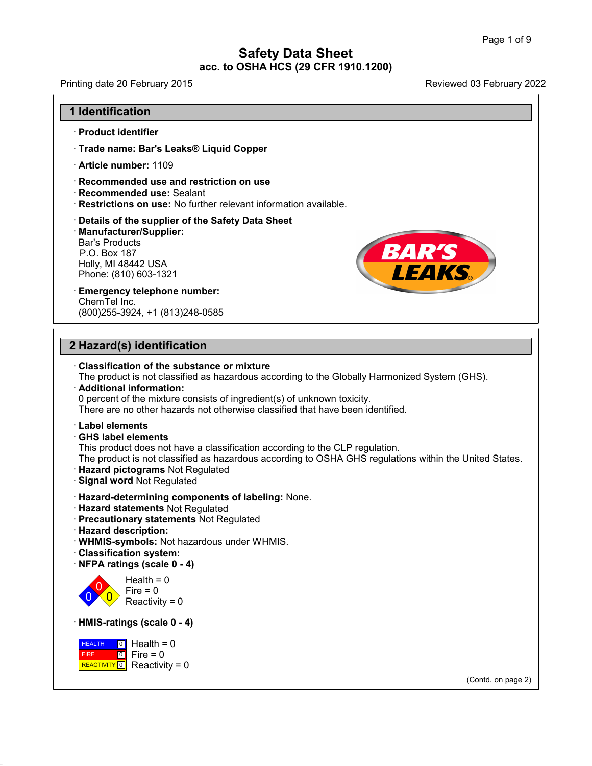Printing date 20 February 2015 **Reviewed 03 February 2022 a**<br>
inting date 20 February 2015<br> **1 Identification**<br>
Product identifier

- 
- From the 20 February 2015<br>
 **Identification<br>
Product identifier<br>
Product identifier<br>
Product identifier<br>
Product identifier<br>
Product identifier<br>
Product identifier<br>
Product identifier Experiment Internal Internal Product identifier<br>· Trade name: <u>Bar's Leaks® Liquid Copper</u><br>· Article number: 1109 Product identifier<br>• Product identifier<br>• Trade name: <u>Bar's Leaks® Li</u>e<br>• Article number: 1109<br>• Recommended use and restri Product identifier<br>• Trade name: <u>Bar's Leaks® Liquid Copper</u><br>• Article number: 1109<br>• Recommended use and restriction on use<br>• Recommended use: Sealant<br>• Restrictions on use: No further relevant information availations**
- 
- 
- 
- Recommended use: Sealant<br>Bestrictions on use: No further relevant information available.

# · **Trade name: <u>Bar's Leaks® Liquid Copper</u><br>· Article number: 1109<br>· Recommended use: Sealant<br>· Restrictions on use: No further relevant information available.<br>· <b>Details of the supplier of the Safety Data Sheet**<br>· **Manuf** · **Manufacturer/Supplier:** Bar's Products<br>
P.O. Box 187<br>
Holly, MI 48442 USA<br>
Phone: (810) 603-1321<br> **Emergency telephone number:**<br>
ChemTel Inc.<br>
(800)255-3924. +1 (813)248-0585 Bar's Products<br>
P.O. Box 187<br>
Holly, MI 48442 USA<br>
Phone: (810) 603-1321<br> **Emergency telephone number:**<br>
ChemTel Inc.<br>
(800)255-3924, +1 (813)248-0585 Restrictions on use: No fur<br>Details of the supplier of the<br>Details of the supplier:<br>Bar's Products<br>P.O. Box 187<br>Holly, MI 48442 USA<br>Phone: (810) 603-1321 **Continuous on accritional and Details of the supplier of the Safe Manufacturer/Supplier:**<br>Bar's Products<br>P.O. Box 187<br>Holly, MI 48442 USA<br>Phone: (810) 603-1321

1.0. 2500<br>
Holly, MI 48442 USA<br>
Phone: (810) 603-1321<br> **Emergency telephone number:**<br>
ChemTel Inc.<br>
(800)255-3924, +1 (813)248-0585 **2 Hazard(s) identification**<br> **2 Hazard(s) identification**<br> **2 Hazard(s) identification**<br> **2 Classification of the substance or mixture**  $\cdot$  Emergency telephone number:

40.1.0

# (800)255-3924, +1 (813)248-0585<br> **Particular Experiment Constrainer Substance or mixture**<br>
The product is not classified as hazardous according to<br> **Additional information:** The product is not classification<br>
The product is not classified as hazardous according to the Globally Harmonized System (GHS).<br>
Additional information:<br>
0 percent of the mixture consists of ingredient(s) of unknown toxic Hazard(s) identification<br>Classification of the substance or mixture<br>The product is not classified as hazardous according to the Globally Harmonized<br>Additional information:<br>0 percent of the mixture consists of ingredient(s) **Classification of the substance or mixture**<br>The product is not classified as hazardous according to the Globally Harmonized Syste<br> **Additional information:**<br>
0 percent of the mixture consists of ingredient(s) of unknown t **Example 12 and 16 and 16 and 16 and 16 and 16 and 16 and 16 and 16 and 16 and 16 and 16 and 16 and 16 and 16 and 16 and 16 and 16 and 16 and 16 and 16 and 16 and 16 and 16 and 16 and 16 and 16 and 16 and 16 and 16 and 16** Turnom in the mixture consists of ingredient(s) of unknown toxicity.<br>There are no other hazards not otherwise classified that have been identified.<br> **Label elements**<br> **GHS label elements**<br>
This product does not have a clas There are no other hazards not otherwise classified that have been identified.<br> **Cabel elements**<br> **CAS label elements**<br>
This product does not have a classification according to the CLP regulation.<br>
The product is not class **Example Signal Word School Signal word and Signal word Regulated Signal word Not Regulated Hazard -determining components of Regulated Bignal word Not Regulated Bignal word Not Regulated Bignal word Not Regulated Bignal w** This product does not have a classification according to the<br>
The product is not classified as hazardous according to OS<br> **· Hazard pictograms** Not Regulated<br> **· Signal word** Not Regulated<br> **· Hazard statements** Not Regula • Hazard pictograms Not Regulated<br>• Signal word Not Regulated<br>• Hazard-determining components of labeling: None.<br>• Hazard statements Not Regulated<br>• Precautionary statements Not Regulated<br>• Hazard description: • **Signal word Not Regulated • Hazard-determining complements Not Regulated • Precautionary statements • Hazard description:<br>• WHMIS-symbols: Not hazard description:<br>• WHMIS-symbols: Not hazard classification system:** • **Hazard-determining components of labeling:** None.<br>• **Hazard statements** Not Regulated<br>• **Precautionary statements** Not Regulated<br>• **Hazard description:**<br>• **WHMIS-symbols:** Not hazardous under WHMIS.<br>• **Classification sy Example 12**<br> **Precautionary statements** Not Regulated<br> **Hazard description:**<br> **WHMIS-symbols:** Not hazardous under WF<br> **Classification system:**<br> **NFPA ratings (scale 0 - 4)**<br>
Health = 0  $\begin{array}{c} 0 \ \sqrt{0} \end{array}$  Reactivi Health =  $0$ <br>Fire =  $0$ scription:<br>
mbols: Not hazardous unde<br>
ion system:<br>
igs (scale 0 - 4)<br>
Health = 0<br>
Fire = 0<br>
Reactivity = 0 mbols: Not hazardous ur<br>ion system:<br>igs (scale 0 - 4)<br>Health = 0<br>Fire = 0<br>Reactivity = 0 Fraction system:<br>  $R$  (scale 0 - 4)<br>  $\theta$  Health = 0<br>
Fire = 0<br>
Reactivity = 0<br>  $\cos(s)$  scale 0 - 4) Health = 0<br> **Health = 0**<br>
Reactivity = 0<br> **HMIS-ratings (scale 0 - 4)**<br> **HEALTH 0** Health = 0 **HEALTH** 0 Hea FIRE 0 FIFE REACTIVITY  $\boxed{0}$  Reactivity = 0 Fire = 0<br>
Reactivity = 0<br> **ings (scale 0 - 4)**<br> **i** Health = 0<br>
Fire = 0<br>
Reactivity = 0 :eactivity = 0<br>|**s (scale 0 - 4)**<br>Health = 0<br>Fire = 0<br>Reactivity = 0 **IS (scale 0 - 4)**<br>Health = 0<br>Fire = 0<br>Reactivity = 0 (Contd. on page 2)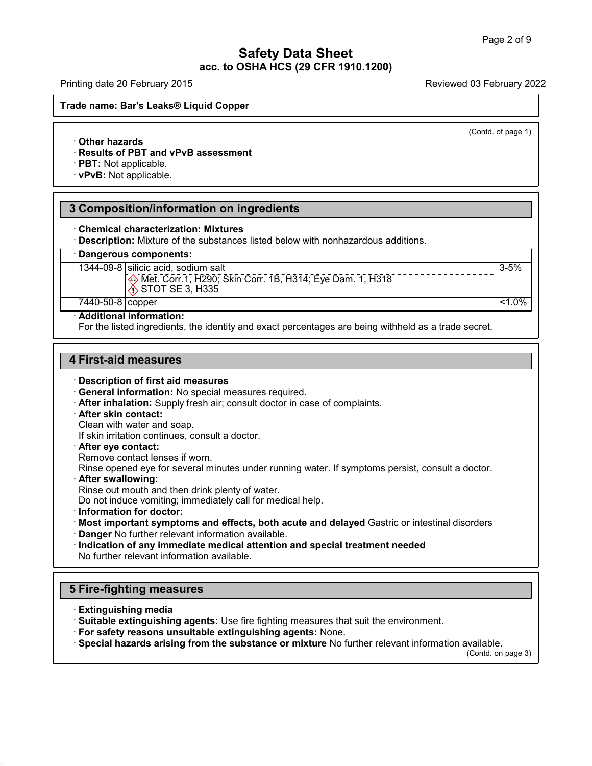Printing date 20 February 2015 **Reviewed 03 February 2022** 

**Trade name: Barety Dames Safety Dames Safety Dames Safety**<br>Trade name: Bar's Leaks® Liquid Copper<br>Trade name: Bar's Leaks® Liquid Copper · **Other hazards Altername: Bar's Leaks® Liquid Copper<br>
→ Other hazards<br>
→ Results of PBT and vPvB assessment<br>
→ PBT: Not applicable.<br>
→ vPvB: Not applicable.** 

(Contd. of page 1)

3-5%

**• Other hazards<br>• Results of PBT and vPvB as<br>• PBT: Not applicable. · vPvB: Not applicable.** 

# **3 Composition/information on ingredients<br>
The Composition/information on ingredients<br>
Composition/information on ingredients<br>
Chemical characterization: Mixtures EXECUSE: Not applicable.<br>
3 Composition/information on ingredients<br>
Chemical characterization: Mixtures<br>
Description: Mixture of the substances listed below<br>
Dangerous components:**

• **Chemical characterization: Mixtures**<br>• **Description:** Mixture of the substances listed below with nonhazardous additions.<br>• **Dangerous components:**<br>• 1344-09-8 silicic acid, sodium salt<br>•  $\frac{25 \text{ Mpc}}{1000 \text{ Npc}}$   $\frac{25$ 

1344-09-8 silicic acid, sodium salt

Chemical characterization: Mixtures<br>
Description: Mixture of the substances listed belo<br>
Dangerous components:<br>
1344-09-8 silicic acid, sodium salt<br>
Wet. Corr. 1, H290; Skin Corr. 1B, F<br>
STOT SE 3, H335 racterization: Mixtures<br>Mixture of the substances listed below with nonhazardous additions.<br>mponents:<br>cic acid, sodium salt<br>Met. Corr. 1, H290; Skin Corr. 1B, H314; Eye Dam. 1, H318<br>STOT SE 3, H335 Met. Corr. 1, H290; Skin Corr. 1B, H314; Eye Dam. 1, H318<br>
7440-50-8 copper<br>
Badditional information: Dangerous components:<br>
1344-09-8 silicic acid, sodium salt<br>  $\frac{1}{2}$ Met. Corr. 1, H290; Skin Corr. 1B, H314; Eye Dam. 1, H318<br>  $\frac{1}{2}$ Met. Corr. 1, H290; Skin Corr. 1B, H314; Eye Dam. 1, H318<br>
7440-50-8 copper <1.0%<br>
A

T440-50-8 copper<br> **Additional information:** (<1.0%)<br>
For the listed ingredients, the identity and exact percentages are being withheld as a trade secret.

# **440-50-8 copper<br>
Additional information:**<br>
For the listed ingredients, the identition<br>
4 First-aid measures<br>
Description of first aid measures

For the listed ingredients, the identity and example.<br> **First-aid measures**<br>
• **Description of first aid measures**<br>
• **General information:** No special measures<br>
• **After inhalation:** Supply fresh air: consult do

- **First-aid measures**<br>
· **Description of first aid measures**<br>
· **General information:** No special measures required.<br> **· After inhalation:** Supply fresh air; consult doctor in case of complaints.<br> **· After skin contact:**<br>
C **Description of first aid measures<br>
General information:** No special measu<br> **After inhalation:** Supply fresh air; consu<br> **After skin contact:**<br>
Clean with water and soap.<br>
If skin irritation continues, consult a docte<br> **Af** If Sescription of first aid measures<br> **General information:** No special measures required.<br> **After inhalation:** Supply fresh air; consult doctor in case.<br> **After skin contact:**<br>
Clean with water and soap.<br>
If skin irritati
- 

After inhalation: Supply fresh air; consult do<br>
After skin contact:<br>
Clean with water and soap.<br>
If skin irritation continues, consult a doctor.<br>
After eye contact :<br>
Remove contact lenses if worn.<br>
Rinse opened eye for se Provided a Solid Clean with water and soap.<br>
If skin irritation continues, consult a doctor.<br> **After eye contact:**<br>
Remove contact lenses if worn.<br>
Rinse opened eye for several minutes under running water. If symptoms pers If skin irritation continues, consult a doctor.<br>**After eye contact:**<br>Remove contact lenses if worn.<br>Rinse opened eye for several minutes under running water.<br>**After swallowing:**<br>Rinse out mouth and then drink plenty of wat

**Example 31 After eye contact:**<br>
Rinse opened eye for several minutes under running water. If symptoms<br> **After swallowing:**<br> **Rinse out mouth and then drink plenty of water.**<br>
Do not induce vomiting; immediately call for m Frame opened eye for several minutes under running water. If symptoms persist, consult a doctor.<br> **After swallowing:**<br>
This equal mouth and then drink plenty of water.<br>
Do not induce vomiting; immediately call for medical

• **After swallowing:**<br> **Condition and then drink plenty of water.**<br> **Do not induce vomiting; immediately call for medical help.**<br>
• **Information for doctor:**<br>
• **Most important symptoms and effects, both acute and delayed** Do not induce vomiting; immediately call for medic<br>Information for doctor:<br>Most important symptoms and effects, both ac<br>Danger No further relevant information available.<br>Indication of any immediate medical attention a<br>No f **First Important Symptoms and enects**<br> **Example 1** Danger No further relevant information and<br> **Indication of any immediate medical and<br>
No further relevant information available.<br>
<b>5 Fire-fighting measures**<br> **Extinguishin** No further relevant information available.<br> **Extinguishing measures**<br> **Extinguishing media**<br> **Extinguishing media**<br> **Extinguishing agents:** Use fire fighting measures that suit the environment.<br> **For safety reasons unsuita** 

40.1.0

- 
- 

Special hazards arising from the substance or mixture No further relevant information available.<br>(Contd. on page 3)

vailable.<br>(Contd. on page 3)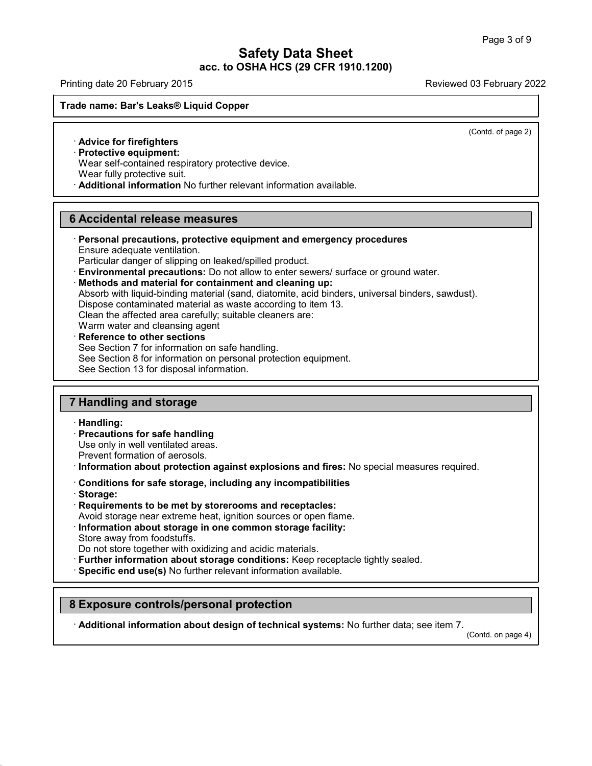Printing date 20 February 2015 **Reviewed 03 February 2022** 

# **Trade name: Barety Dames Safety Dames Safety Dames Safety**<br>Trade name: Bar's Leaks® Liquid Copper<br>Trade name: Bar's Leaks® Liquid Copper **EXPRESS CONSTRUMERY 2018**<br> **Advice for firefighters**<br>
Protective equipment:<br>
Wear self-contained respiratory to **Example 18 Second Service Equipment:**<br>
• **Advice for firefighters**<br>
• **Protective equipment:**<br>
• Wear self-contained respirator<br>
• Wear fully protective suit.

(Contd. of page 2)

Madvice for firefighters<br>
Advice for firefighters<br>
Protective equipment:<br>
Wear self-contained respiratory protective device.<br>
Wear fully protective suit.<br>
Additional information No further relevant information avails

**Advice for firefighters**<br> **Protective equipment:**<br>
Wear self-contained respiratory protective device.<br>
Wear fully protective suit.<br> **Additional information** No further relevant information available.

# 6 Accidental release measures

- **Frotective equipment:**<br>
Wear self-contained respiratory protective device<br>
Wear fully protective suit.<br> **Additional information** No further relevant infor<br> **6 Accidental release measures**<br>
Personal precautions, protective **Example 12 Constrained information No further relevant information available.<br>
<b>B**<br> **Personal precautions, protective equipment and emergency procedures<br>
Ensure adequate ventilation.<br>
Particular danger of slipping on leak**
- 
- **Particular danger of slipping on leaked/spilled product.**<br> **Particular danger of slipping on leaked/spilled product.**<br> **Particular danger of slipping on leaked/spilled product.**<br> **Particular danger of slipping on leaked/s Personal precautions, protective equipment and emergency procedures**<br>Ensure adequate ventilation.<br>Particular danger of slipping on leaked/spilled product.<br>**Environmental precautions:** Do not allow to enter sewers/ surface Ensure adequate ventilation.<br>Particular danger of slipping on leaked/spilled product.<br>**Environmental precautions:** Do not allow to enter sewers/ surface or ground<br>**Methods and material for containment and cleaning up:**<br>Abs Particular danger of slipping on leaked/spilled product.<br> **Environmental precautions:** Do not allow to enter sewers/ surface or<br> **Methods and material for containment and cleaning up:**<br>
Absorb with liquid-binding material Methods and material for containment and cleaning up:<br>
Absorb with liquid-binding material (sand, diatomite, acid binders, universal binders, sawdust).<br>
Dispose contaminated material as waste according to item 13.<br>
Clean t
- Dispose contaminated material as waste according to item 13.<br>Clean the affected area carefully; suitable cleaners are:<br>Warm water and cleansing agent<br>**Reference to other sections**<br>See Section 7 for information on safe hand Dispose contaminated material as waste according to item 13.<br>Clean the affected area carefully; suitable cleaners are:<br>Warm water and cleansing agent<br>**Reference to other sections**<br>See Section 7 for information on personal Clean the affected area carefully; suitable clear<br>Warm water and cleansing agent<br>**Reference to other sections**<br>See Section 7 for information on safe handling.<br>See Section 8 for information on personal prote<br>See Section 13 **12 Reference to other sections**<br>
See Section 7 for information on safe has<br>
See Section 8 for information on personal<br>
See Section 13 for disposal information.<br> **7 Handling and storage**<br> **Handling:**

· **Handling:**

**Fandling and storage<br>
· <b>Handling:**<br>
· **Precautions for safe handling**<br>
Use only in well ventilated areas.<br>
Prevent formation of aerosols. **Handling and storage<br>
Handling:<br>
Precautions for safe handling<br>
Use only in well ventilated areas.<br>
Prevent formation of aerosols.<br>
Information about protection against exple** 

- **Prevent formation of aerosols.**<br> **Precautions for safe handling**<br>
Use only in well ventilated areas.<br>
Prevent formation of aerosols.<br> **Conditions for safe storage, including any incompatibilities**<br> **Conditions for safe st** Prevent formation of aerosols.<br> **Conditions about protection against explosions and fires:** No special measures required.<br> **Conditions for safe storage, including any incompatibilities**<br> **Requirements to be met by storeroo**
- 
- 

40.1.0

· **Storage:**

Avoid storage near extreme heat, ignition sources or open flame.<br> **Conditions for safe storage, including any incompatibilities**<br> **Requirements to be met by storerooms and receptacles:**<br>
Avoid storage near extreme heat, ig Information about storage in one common storage facility:<br>Store away from foodstuffs.<br>Do not store together with oxidizing and acidic materials.<br>Further information about storage conditions: Keep receptacle tightly sealed. **Do Friddy Storage:**<br> **Provident Store together with oxidizing and acidic materials.**<br> **Provident Store away from foodstuffs.**<br> **Do not store together with oxidizing and acidic materials.**<br> **Provident Example Storage condi** 

Store away from loodsturns.<br>
Do not store together with oxidizing and acidic materials.<br>
Further information about storage conditions: Keep recept<br>
Specific end use(s) No further relevant information available.<br> **8 Exposur** 

· **Additional information about design of technical systems:** No further data; see item 7.

(Contd. on page 4)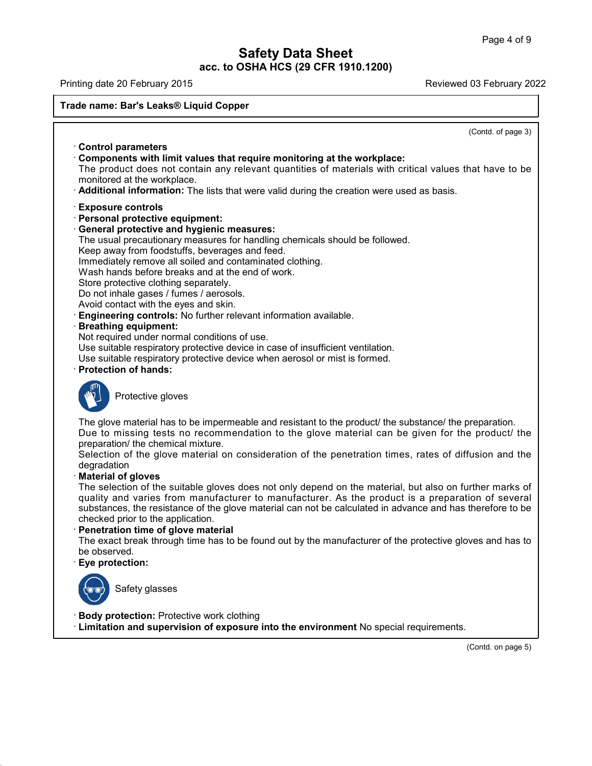Printing date 20 February 2015 **Reviewed 03 February 2022** 

40.1.0

**Trade name: Barety Dames Safety Dames Safety Dames Safety**<br>Trade name: Bar's Leaks® Liquid Copper<br>Trade name: Bar's Leaks® Liquid Copper

(Contd. of page 3) Trade name: Bar's Leaks® Liquid Copper<br>• Control parameters<br>• Components with limit values that require monitoring at the workplace: **Control parameters**<br>• **Control parameters**<br>• **Components with limit values that require monitoring at the workplace:**<br>• The product does not contain any relevant quantities of materials with critical v<br>• monitored at the Control parameters<br>
Control parameters<br>
Components with limit values that require monitoring at the workplace:<br>
The product does not contain any relevant quantities of materials with critical values that have to be<br>
monito Control parameters<br>
• **Components with limit values that require monitoring at the workplace**:<br>
The product does not contain any relevant quantities of materials with critical values that have the<br> **• Additional informatio** The product does not contain any rele<br>monitored at the workplace.<br>**Additional information:** The lists that we<br>**Exposure controls**<br>**Personal protective equipment:**<br>**General protective and hygienic meas**<br>The usual precaution monitored at the workplace.<br> **Additional information:** The lists that were valid durined the **Exposure controls**<br> **Personal protective equipment:**<br> **General protective and hygienic measures:**<br>
The usual precautionary measu Additional information: The lists that were valid during the creation were used as basis<br> **Exposure controls**<br> **Personal protective equipment:**<br> **General protective and hygienic measures:**<br>
The usual precautionary measures Exposure controls<br>
Personal protective equipment:<br>
General protective and hygienic measures:<br>
The usual precautionary measures for handling chemicals sho<br>
Keep away from foodstuffs, beverages and feed.<br>
Immediately remove Exposure controls<br>
Personal protective equipment:<br>
General protective and hygienic measures:<br>
The usual precautionary measures for handling chemicals should be<br>
Keep away from foodstuffs, beverages and feed.<br>
Immediately r **Personal protective equipment:**<br> **General protective and hygienic measures:**<br>
The usual precautionary measures for handling chemicals shoule<br>
Keep away from foodstuffs, beverages and feed.<br>
Immediately remove all soiled a General protective and hygienic measure<br>The usual precautionary measures for hand<br>Keep away from foodstuffs, beverages and<br>Immediately remove all soiled and contamin<br>Wash hands before breaks and at the end c<br>Store protecti The usual precautionary measures for handling c<br>Keep away from foodstuffs, beverages and feed.<br>Immediately remove all soiled and contaminated<br>Wash hands before breaks and at the end of wor<br>Store protective clothing separat Keep away from foodstuffs, beverages and feed.<br>
Immediately remove all soiled and contaminated clothing.<br>
Wash hands before breaks and at the end of work.<br>
Store protective clothing separately.<br>
Do not inhale gases / fumes Store protective clothing separately.<br>
Do not inhale gases / fumes / aerosols.<br>
Avoid contact with the eyes and skin.<br> **Engineering controls:** No further relevant information available.<br> **Breathing equipment:**<br>
Not require Do not inhale gases / fumes / aerosols.<br>Avoid contact with the eyes and skin.<br>**Engineering controls:** No further relevant information available.<br>**Breathing equipment:**<br>Not required under normal conditions of use.<br>Use suita Avoid contact with the eyes and skin.<br>
• **Engineering controls:** No further relevant information available.<br>
• **Breathing equipment:**<br>
Not required under normal conditions of use.<br>
Use suitable respiratory protective devic The direct Homal conditions<br>able respiratory protective devable respiratory protective devable<br>on of hands:<br>Protective gloves Protection of hands:<br>
The glove material has to be impermeable and resistant to the product/ the substance/ the preparation.<br>
Due to missing tests no recommendation to the glove material can be given for the product/ the<br> Protective gloves<br>
The glove material has to be impermeable and resistant to the product/ the substance/ the preparation.<br>
Due to missing tests no recommendation to the glove material can be given for the product/ the<br>
pr protective gloves<br>The glove material has to be impermeable and resistant to the product/ the substance/ the preparation.<br>Due to missing tests no recommendation to the glove material can be given for the product/ the<br>prepar The glove material has to be impermeable and resistant to the product/ the substance/ the preparation.<br>Due to missing tests no recommendation to the glove material can be given for the product/ the preparation/ the chemica degradation<br>Material of gloves The glove material has to be in<br>Due to missing tests no rec<br>preparation/ the chemical mixtu<br>Selection of the glove materi<br>degradation<br>**Material of gloves**<br>The selection of the suitable g<br>quality and varies from man Due to missing tests no recommendation to the glove material can be given for the product/ the<br>preparation/ the chemical mixture.<br>Selection of the glove material on consideration of the penetration times, rates of diffusio preparation/ the chemical mixture.<br>Selection of the glove material on consideration of the penetration times, rates of diffusion and the<br>degradation<br>**Material of gloves**<br>The selection of the suitable gloves does not only d Selection of the glove material on consideration of the penetration times, rates of diffusion and the<br>degradation<br>**Material of gloves**<br>The selection of the suitable gloves does not only depend on the material, but also on degradation<br> **Checked priors**<br>
The selection of the suitable gloves does not<br>
quality and varies from manufacturer to material<br>
substances, the resistance of the glove material<br> **Checked prior to the application.**<br> **Penetr** The selection of the suitable gloves does not only depend on the material, but also on further marks of<br>quality and varies from manufacturer to manufacturer. As the product is a preparation of several<br>substances, the resis quality and varies from<br>substances, the resista<br>checked prior to the app<br>**Penetration time of gld**<br>The exact break throug<br>be observed.<br>**Eye protection:** non time of give material<br>ct break through time has<br>ved.<br>Safety glasses **Eye protection:**<br>
Safety glasses<br> **Body protection:** Protective work clothing<br> **Limitation and supervision of exposure into the error. Example 3**<br>**Example 3**<br>**Exposure into the environment** No special requirements.<br> **Limitation and supervision of exposure into the environment** No special requirements. (Contd. on page 5)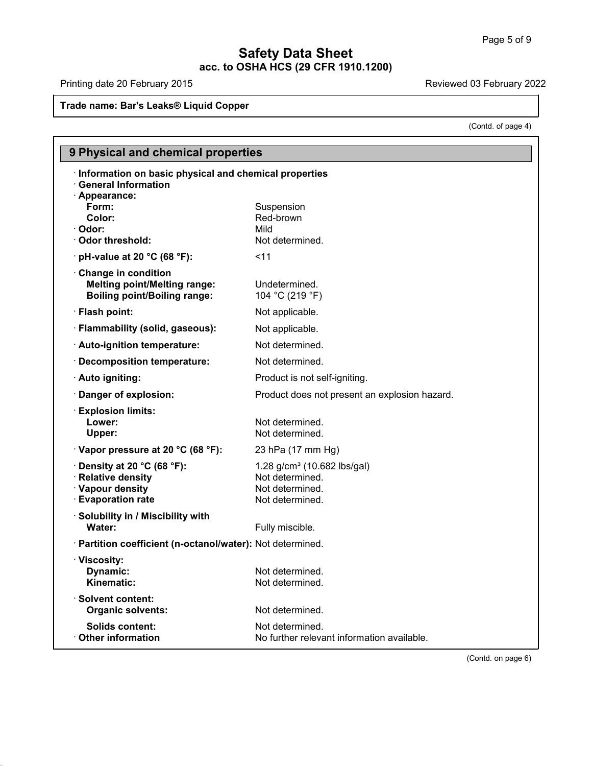# **Safety Data Sheet acc. to OSHA HCS (29 CFR 1910.1200) Safety Dames & Trade name:** Barty Dames Barty 2015<br>Trade name: Bar's Leaks® Liquid Copper

Printing date 20 February 2015

40.1.0

Reviewed 03 February 2022<br>
(Contd. of page 4)

|                                                                                                             | (Contd. of page 4)                                                                               |  |
|-------------------------------------------------------------------------------------------------------------|--------------------------------------------------------------------------------------------------|--|
| 9 Physical and chemical properties                                                                          |                                                                                                  |  |
| · Information on basic physical and chemical properties<br><b>General Information</b>                       |                                                                                                  |  |
| · Appearance:<br>Form:<br>Color:<br>· Odor:<br>Odor threshold:                                              | Suspension<br>Red-brown<br>Mild<br>Not determined.                                               |  |
| $\cdot$ pH-value at 20 °C (68 °F):                                                                          | $<$ 11                                                                                           |  |
| Change in condition<br><b>Melting point/Melting range:</b><br><b>Boiling point/Boiling range:</b>           | Undetermined.<br>104 °C (219 °F)                                                                 |  |
| · Flash point:                                                                                              | Not applicable.                                                                                  |  |
| · Flammability (solid, gaseous):                                                                            | Not applicable.                                                                                  |  |
| · Auto-ignition temperature:                                                                                | Not determined.                                                                                  |  |
| · Decomposition temperature:                                                                                | Not determined.                                                                                  |  |
| · Auto igniting:                                                                                            | Product is not self-igniting.                                                                    |  |
| Danger of explosion:                                                                                        | Product does not present an explosion hazard.                                                    |  |
| $\cdot$ Explosion limits:<br>Lower:<br>Upper:                                                               | Not determined.<br>Not determined.                                                               |  |
| · Vapor pressure at 20 °C (68 °F):                                                                          | 23 hPa (17 mm Hg)                                                                                |  |
| $\cdot$ Density at 20 °C (68 °F):<br><b>Relative density</b><br>· Vapour density<br><b>Evaporation rate</b> | 1.28 g/cm <sup>3</sup> (10.682 lbs/gal)<br>Not determined.<br>Not determined.<br>Not determined. |  |
| Solubility in / Miscibility with<br>Water:                                                                  | Fully miscible.                                                                                  |  |
| · Partition coefficient (n-octanol/water): Not determined.                                                  |                                                                                                  |  |
| · Viscosity:<br>Dynamic:<br>Kinematic:                                                                      | Not determined.<br>Not determined.                                                               |  |
| <b>Solvent content:</b><br><b>Organic solvents:</b>                                                         | Not determined.                                                                                  |  |
| <b>Solids content:</b><br><b>Other information</b>                                                          | Not determined.<br>No further relevant information available.                                    |  |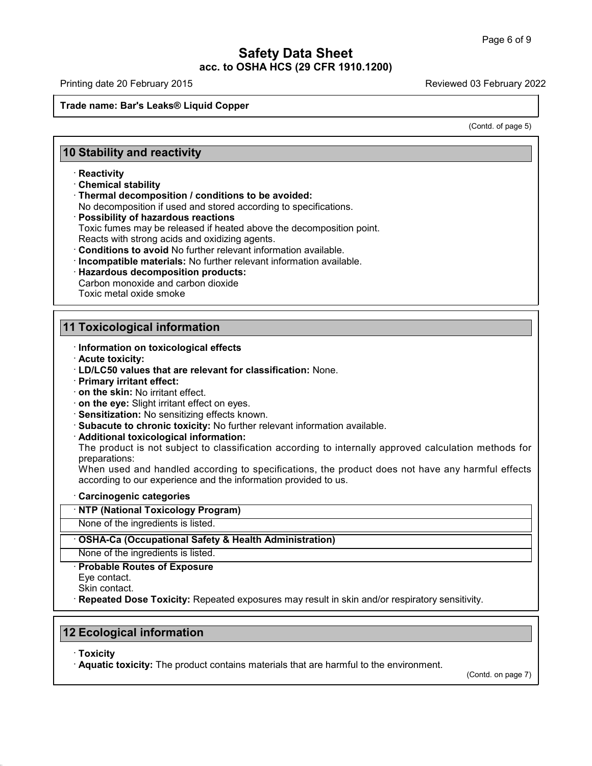Printing date 20 February 2015 **Reviewed 03 February 2022** 

03 February 2022<br>
Contd. of page 5)

# **Safety Dames & Trade name:** Barty Dames Barty 2015<br>Trade name: Bar's Leaks® Liquid Copper **10 Stability and reactivity<br>
10 Stability and reactivity<br>
Reactivity<br>
Reactivity**

# · **Reactivity**

- 
- **10 Stability and reactivity<br>
· Reactivity<br>
· Chemical stability<br>
· Thermal decomposition / conditions to be avoided:**

No decomposition if used and stored according to specifications.<br> **Possibility of hazardous reactions** 

**Stability and reactivity**<br>
• Reactivity<br>
• Chemical stability<br>
• Thermal decomposition *l* conditions to be avoided:<br>
• No decomposition if used and stored according to specifications.<br>
• **Possibility of hazardous reactio** Reactivity<br>Chemical stability<br>Thermal decomposition / conditions to be avoided:<br>No decomposition if used and stored according to specifications.<br>Possibility of hazardous reactions<br>Toxic fumes may be released if heated abov Chemical stability<br>
Thermal decomposition / conditions to be avoided:<br>
No decomposition if used and stored according to specifications.<br>
Possibility of hazardous reactions<br>
Toxic fumes may be released if heated above the d

- 
- 
- Reacts with strong acids and oxidizing agents.<br>
Conditions to avoid No further relevant information available.<br>
Incompatible materials: No further relevant information availa<br>
Hazardous decomposition products:<br>
Carbon mono · Incompatible materials: No further relevant information available.
- **11 Toxicological information**<br> **11 Toxicological information**<br> **11 Toxicological information**<br> **11 Toxicological information** 
	-

- **TOXIC METAL OXIGE SMOKE**<br>
I TOXICOlogical information<br>
∙ Information on toxicological effects<br>
∙ Acute toxicity:<br>
∙ LD/LC50 values that are relevant for classificat
- 
- **11 Toxicological information<br>
Information on toxicological effects<br>
Acute toxicity:<br>
LD/LC50 values that are relevant for classification: None.<br>
Primary irritant effect: Example 1 Development CONDE CONDENSTAND CONDENSTAND TO LARGE THE ACTIVE CONDENSTAND FOR PRIMARY IT PRIMARY irritant effect:**<br>• **Primary irritant effect:**<br>• **Primary irritant effect:**<br>• **on the skin:** No irritant effect.<br>
	-
	-
	-
	-
	-
	-

Information on toxicological effects<br>
Information on toxicological effects<br>
ID/LC50 values that are relevant for classification: None.<br>
Primary irritant effect:<br>
In the skin: No irritant effect.<br>
In the eye: Slight irritan on the skin: No irritant effect<br>
on the eye: Slight irritant effect on eyes.<br>
Sensitization: No sensitizing effects known.<br>
Subacute to chronic toxicity: No further relevant information available.<br>
Additional toxicological preparations: Sensitization: No sensitizing effects known.<br>Subacute to chronic toxicity: No further relevant information available.<br>Additional toxicological information:<br>The product is not subject to classification according to internal • **Subacute to chronic toxicity:** No further relevant information available.<br>• **Additional toxicological information:**<br>• The product is not subject to classification according to internally approve<br>preparations:<br>• When use

When used and handled according to specifications, the product does not have any harmful effects according to our experience and the information provided to us.<br> **Carcinogenic categories**<br> **· NTP (National Toxicology Progr** When used and handled according to specifications, the prod<br>according to our experience and the information provided to us.<br> **· Carcinogenic categories**<br> **· NTP (National Toxicology Program)**<br>
None of the ingredients is li

# **None of the ingredients is listed.**<br> **None of the ingredients is listed.**<br> **• OSHA-Ca (Occupational Safety & Health A**<br>
None of the ingredients is listed.<br>
• **Probable Routes of Exposure**<br>
Eye contact.<br>
Skin contact. None of the ingredients<br>
OSHA-Ca (Occupation<br>
None of the ingredients<br>
Probable Routes of E:<br>
Eye contact.<br>
Skin contact.<br>
Reneated Dose Toxici

**SKIN-Ca (Occupational Safety & Health Administration)**<br>None of the ingredients is listed.<br>**· Probable Routes of Exposure**<br>Eye contact.<br>Skin contact.<br>**· Repeated Dose Toxicity:** Repeated exposures may result in skin and/or **12 Ecological information<br>
12 Ecological information<br>
12 Ecological information<br>
13 Ecological information<br>
12 Ecological information<br>
13 Toxicity** 

· **Toxicity**

40.1.0

· **Aquatic toxicity:** The product contains materials that are harmful to the environment.

(Contd. on page 7)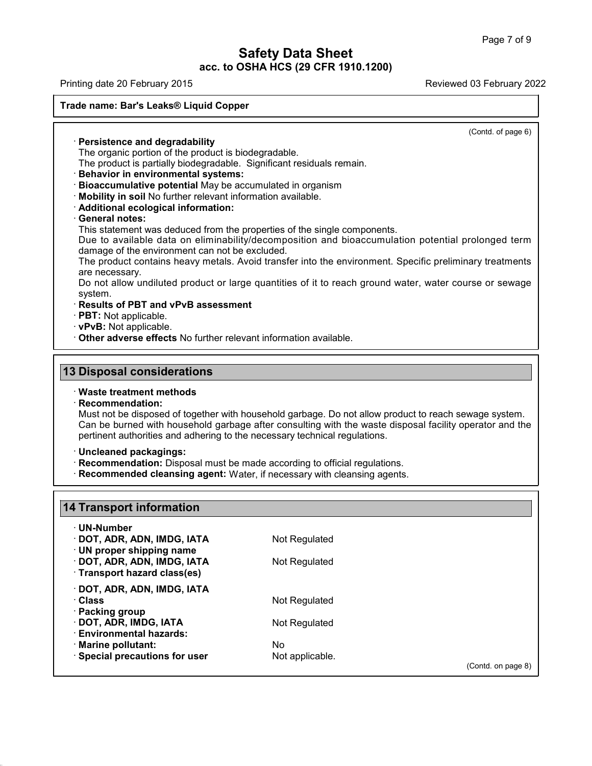Printing date 20 February 2015 **Reviewed 03 February 2022** 

# **Trade name: Barety Dames Safety Dames Safety Dames Safety**<br>Trade name: Bar's Leaks® Liquid Copper<br>Trade name: Bar's Leaks® Liquid Copper · **Persistence and degradability**

(Contd. of page 6)

de name: Bar's Leaks® Liquid Copper<br>
The organic portion of the product is biodegradable.<br>
The product is partially biodegradable. Significant residu<br>
Rehavior in environmental systems: The product is partially biodegradable.<br>
The organic portion of the product is biodegradable.<br>
The product is partially biodegradable. Significant residuals remain.<br> **Behavior in environmental systems:**<br> **Bioaccumulative p Persistence and degradability**<br>The organic portion of the product is biodegradable.<br>The product is partially biodegradable. Significant residuals remain.<br>**Behavior in environmental systems:**<br>**Bioaccumulative potential** Ma • **Persistence and degradability**<br>
• The organic portion of the product is biodegradable.<br>
• **Behavior in environmental systems:**<br>
• **Bioaccumulative potential** May be accumulated in organism<br>
• **Mobility in soil** No furth

# • **Behavior in environmenta**<br>• **Bioaccumulative potential**<br>• **Mobility in soil No further r**<br>• **Additional ecological information**<br>• **General notes:**<br>• This statement was deduced Due to available data on a

Behavior in environmental systems:<br>
Bioaccumulative potential May be accumulated in organism<br>
Mobility in soil No further relevant information available.<br>
Additional ecological information:<br>
General notes:<br>
This statement Bioaccumulative potential May be accumulated in organism<br>
Mobility in soil No further relevant information available.<br>
Additional ecological information:<br>
General notes:<br>
This statement was deduced from the properties of t Mobility in soil No further relevant information available.<br>
Additional ecological information:<br>
General notes:<br>
This statement was deduced from the properties of the single components.<br>
Due to available data on eliminabil

Additional ecological information:<br>General notes:<br>This statement was deduced from the properties of the single components.<br>Due to available data on eliminability/decomposition and bioaccumulation potential prolonged term<br>d damage of the environment can not be excluded.<br>The product contains heavy metals. Avoid transfer into the environment. Specific preliminary treatments<br>are necessary.<br>Do not allow undiluted product or large quantities of it This statement was deduced from the properties of the single components.<br>
Due to available data on eliminability/decomposition and bioaccumulation potential prolonged term<br>
damage of the environment can not be excluded.<br>
T The product contains heavy metals. Avoid transfer into the environment. Specific preliminary treatments are necessary.<br>
Do not allow undiluted product or large quantities of it to reach ground water, water course or sewage

system. The product contains heavy metals. Avoid transfer into the environment.<br>
are necessary.<br>
Do not allow undiluted product or large quantities of it to reach ground<br>
system.<br> **· Results of PBT and vPvB assessment**<br> **· PBT:** N

- 
- 
- **13 Disposal considerations**<br> **13 Disposal considerations**<br> **13 Disposal considerations**<br> **13 Disposal considerations**

# · **Recommendation:**

40.1.0

• Other adverse effects No further relevant information available.<br> **13 Disposal considerations**<br>
• Waste treatment methods<br>
• Recommendation:<br>
Must not be disposed of together with household garbage. Do not allow product Disposal considerations<br>Waste treatment methods<br>Recommendation:<br>Must not be disposed of together with household garbage. Do not allow product to reach sewage system.<br>Can be burned with household garbage after consulting wi **Disposal considerations**<br>Waste treatment methods<br>Recommendation:<br>Must not be disposed of together with household garbage. Do not allow product to reach sewage system.<br>Can be burned with household garbage after consulting **Proferent authorities and adhering to the necessary technical regulations:**<br>
Must not be disposed of together with household garbage. Do not allow product<br>
Can be burned with household garbage after consulting with the wa **Example 12 Follow Synthetics:** Can be burned with household garbage after consulting with the waste disposal facility pertinent authorities and adhering to the necessary technical regulations.<br> **· Uncleaned packagings:**<br>

- **11 Uncleaned packagings:**<br> **14 Tecommendation:** Disposal must be made according to official regulations.<br> **14 Tecommended cleansing agent:** Water, if necessary with cleansing agents.
- 

| 14 Transport information       |                 |                    |  |
|--------------------------------|-----------------|--------------------|--|
| $\cdot$ UN-Number              |                 |                    |  |
| · DOT, ADR, ADN, IMDG, IATA    | Not Regulated   |                    |  |
| · UN proper shipping name      |                 |                    |  |
| · DOT, ADR, ADN, IMDG, IATA    | Not Regulated   |                    |  |
| · Transport hazard class(es)   |                 |                    |  |
| · DOT, ADR, ADN, IMDG, IATA    |                 |                    |  |
| · Class                        | Not Regulated   |                    |  |
| · Packing group                |                 |                    |  |
| · DOT, ADR, IMDG, IATA         | Not Regulated   |                    |  |
| <b>Environmental hazards:</b>  |                 |                    |  |
| · Marine pollutant:            | No.             |                    |  |
| · Special precautions for user | Not applicable. |                    |  |
|                                |                 | (Contd. on page 8) |  |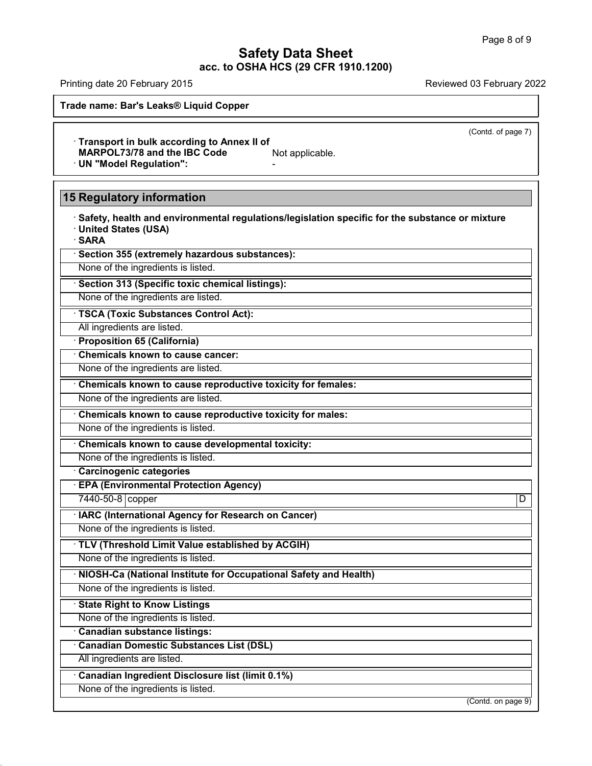Printing date 20 February 2015 **Reviewed 03 February 2022** 

**Trade name: Barety Dames Safety Dames Safety Dames Safety**<br>Trade name: Bar's Leaks® Liquid Copper<br>Trade name: Bar's Leaks® Liquid Copper

(Contd. of page 7)

· **Transport in bulk according to Annex II of** Frade name: Bar's Leaks® Liquid Copper<br>
Transport in bulk according to Annex II of<br>
MARPOL73/78 and the IBC Code<br>
• UN "Model Regulation":<br>
• **15 Regulatory information**<br>
• Safety, health and environmental regulations/legi

· ON "Model Regulation":<br>**Safety, health and environmental regulations/legislation specific for the substance or mixture**<br>· United States (USA)<br>· SARA **Example 15 Augulatory information<br>• Safety, health and environment<br>• United States (USA)<br>• Section 355 (extremely becarde** • **Safety, health and environmental regulations/legislat**<br>• United States (USA)<br>• **SARA**<br>• **Section 355 (extremely hazardous substances):**<br>None of the ingredients is listed. None of the ingredients is listed.<br>None of the ingredients is listed.<br>None of the ingredients is listed.<br>None of the ingredients is listed.<br>None of the ingredients are listed.

· **SARA**

**SARA**<br> **Exercion 355 (extremely hazardous substances):**<br>
None of the ingredients is listed.<br> **TSCA (Toxic Substances Control Act):**<br>
All ingredients are listed.<br> **All ingredients are listed. Example 313 (Specific toxic chemical index**<br>
• **Section 313 (Specific toxic chemical index**<br>
• **TSCA (Toxic Substances Control A**<br>
• **All ingredients are listed.**<br>
• **Proposition 65 (California)**<br>
• **Chemicals known to ca** 

**TSCA (Toxic Substances Control Act):**<br>
All ingredients are listed.<br> **Proposition 65 (California)**<br> **Chemicals known to cause cancer:**<br>
None of the ingredients are listed.

TSCA (Toxic Substances Control Act):<br>
All ingredients are listed.<br> **· Proposition 65 (California)**<br>
· Chemicals known to cause cancer:<br>
None of the ingredients are listed.<br>
None of the ingredients are listed.<br>
None of the • **Chemicals known to cause cancer:**<br>• **Chemicals known to cause reproductive toxicity for females:**<br>• **Chemicals known to cause reproductive toxicity for females:**<br>• **Chemicals known to cause reproductive toxicity for mal** The ingredients are listed.<br> **Chemicals known to cause reproductive toxicity for females:**<br> **Chemicals known to cause reproductive toxicity for males:**<br>
None of the ingredients is listed.<br> **Chemicals known to cause develop** 

None of the ingredients are listed.<br> **Chemicals known to cause reproductive toxicity for males:**<br>
None of the ingredients is listed.<br> **Chemicals known to cause developmental toxicity:**<br>
None of the ingredients is listed.<br>

• Chemicals known to cause developmental toxicity:<br>None of the ingredients is listed.<br>• Carcinogenic categories<br>• EPA (Environmental Protection Agency)<br>7440-50-8 copper<br>• IARC (International Agency for Research on Cancer)

Chemicals known to cause developmental toxicity:<br>
None of the ingredients is listed.<br>
Carcinogenic categories<br>
EPA (Environmental Protection Agency)<br>
7440-50-8 copper DIARC (International Agency for Research on Cancer) • Carcinogenic categories<br>• **EPA (Environmental Protection Agency)**<br>• 7440-50-8 copper<br>• **IARC (International Agency for Research on Cancer)**<br>• None of the ingredients is listed. None of the ingredients is listed.<br> **EPA (Environmental Protection Agency)**<br> **RAC (International Agency for Research on Cancer)**<br>
None of the ingredients is listed.<br>
None of the ingredients is listed.<br>
None of the ingredie

**EXECTS COMPTER CONCORREGIENT CONCORREGIENT CONCORREGIENT CONCORREGIENT CONCORREGIENT CONCORREGIENT CONCORREGIENT CONCORREGIENT CONCORREGIENT CONCORREGIENT CONCORREGIENT CONCORREGIENT CONCORREGIENT CONCORREGIENT CONCORREGI TEV (Threshold Limit Value established by<br>
None of the ingredients is listed.**<br> **• NIOSH-Ca (National Institute for Occupation None of the ingredients is listed.**<br>
• **State Right to Know Listings**<br>
• None of the ingredien **NONE OF the ingredients is listed.**<br> **NONE CA (National Institute for Occupation None of the ingredients is listed.**<br> **Canadian substance listings:**<br> **Canadian Domestic Substances List (DSL)** 

• **Canadian Substances Chinal Substances**<br>• **Canadian Substance listings**<br>• **Canadian Substance listings:**<br>• **Canadian Domestic Substances List (DSL)**<br>• All ingredients are listed.

40.1.0

- State Right to Know Listings<br>
None of the ingredients is listed.<br> **· Canadian Substance listings:**<br>
· **Canadian Domestic Substances List (DSL)**<br>
All ingredients are listed.<br> **· Canadian Ingredient Disclosure list (limit Canadian substance listings:**<br>Canadian Domestic Substances List (DSL)<br>All ingredients are listed.<br>Canadian Ingredient Disclosure list (limit 0.1%)<br>None of the ingredients is listed.

(Contd. on page 9)